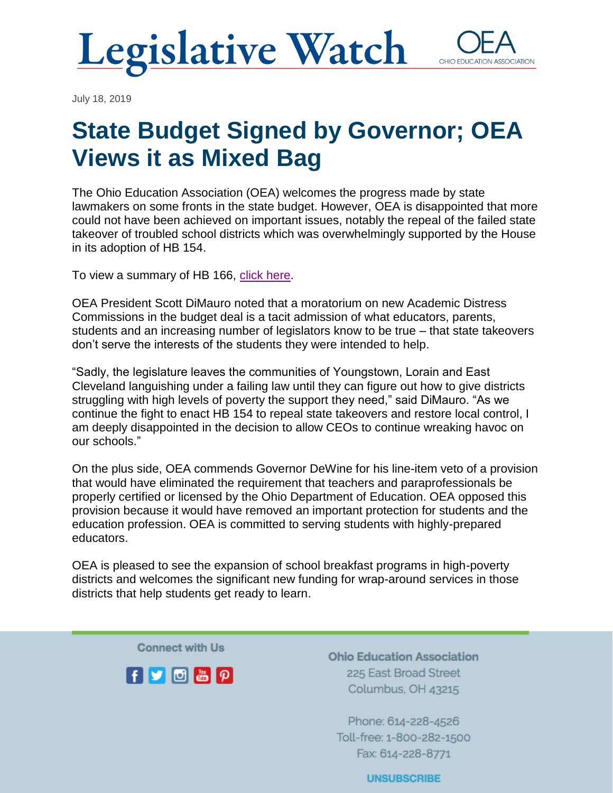**Legislative Watch** OHIO EDUCATI

July 18, 2019

## **State Budget Signed by Governor; OEA Views it as Mixed Bag**

The Ohio Education Association (OEA) welcomes the progress made by state lawmakers on some fronts in the state budget. However, OEA is disappointed that more could not have been achieved on important issues, notably the repeal of the failed state takeover of troubled school districts which was overwhelmingly supported by the House in its adoption of HB 154.

To view a summary of HB 166, [click here.](https://www.ohea.org/hb-166-summary-final-7-18-19/)

OEA President Scott DiMauro noted that a moratorium on new Academic Distress Commissions in the budget deal is a tacit admission of what educators, parents, students and an increasing number of legislators know to be true – that state takeovers don't serve the interests of the students they were intended to help.

"Sadly, the legislature leaves the communities of Youngstown, Lorain and East Cleveland languishing under a failing law until they can figure out how to give districts struggling with high levels of poverty the support they need," said DiMauro. "As we continue the fight to enact HB 154 to repeal state takeovers and restore local control, I am deeply disappointed in the decision to allow CEOs to continue wreaking havoc on our schools."

On the plus side, OEA commends Governor DeWine for his line-item veto of a provision that would have eliminated the requirement that teachers and paraprofessionals be properly certified or licensed by the Ohio Department of Education. OEA opposed this provision because it would have removed an important protection for students and the education profession. OEA is committed to serving students with highly-prepared educators.

OEA is pleased to see the expansion of school breakfast programs in high-poverty districts and welcomes the significant new funding for wrap-around services in those districts that help students get ready to learn.

**Connect with Us** 



**Ohio Education Association** 225 East Broad Street Columbus, OH 43215

Phone: 614-228-4526 Toll-free: 1-800-282-1500 Fax: 614-228-8771

**UNSUBSCRIBE**